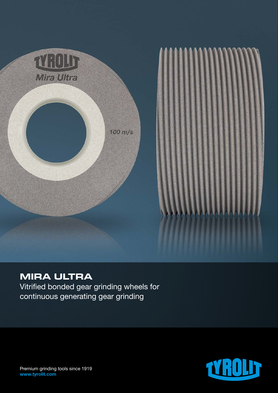

# **MIRA ULTRA**

Vitrified bonded gear grinding wheels for continuous generating gear grinding



Premium grinding tools since 1919 www.tyrolit.com